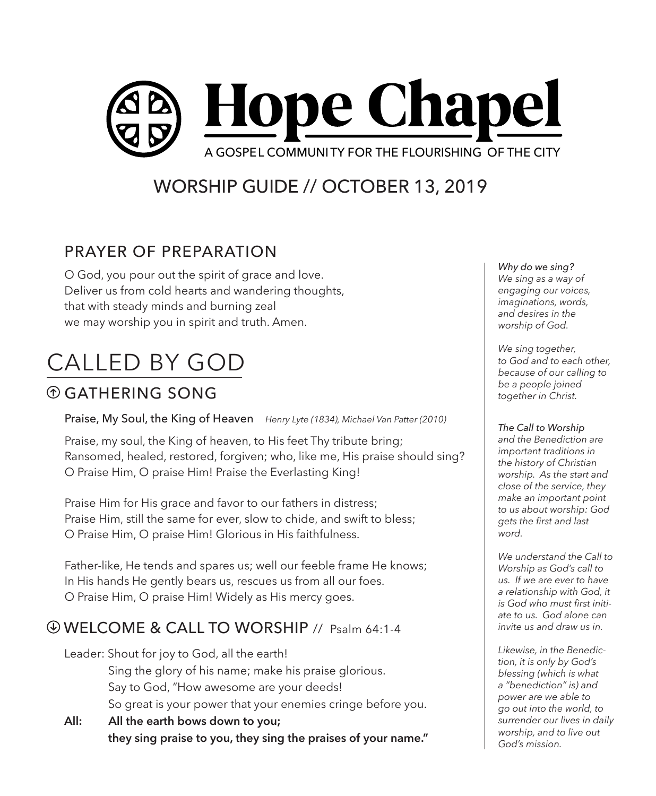

### WORSHIP GUIDE // OCTOBER 13, 2019

#### PRAYER OF PREPARATION

O God, you pour out the spirit of grace and love. Deliver us from cold hearts and wandering thoughts, that with steady minds and burning zeal we may worship you in spirit and truth. Amen.

# CALLED BY GOD

#### GATHERING SONG

Praise, My Soul, the King of Heaven *Henry Lyte (1834), Michael Van Patter (2010)*

Praise, my soul, the King of heaven, to His feet Thy tribute bring; Ransomed, healed, restored, forgiven; who, like me, His praise should sing? O Praise Him, O praise Him! Praise the Everlasting King!

Praise Him for His grace and favor to our fathers in distress; Praise Him, still the same for ever, slow to chide, and swift to bless; O Praise Him, O praise Him! Glorious in His faithfulness.

Father-like, He tends and spares us; well our feeble frame He knows; In His hands He gently bears us, rescues us from all our foes. O Praise Him, O praise Him! Widely as His mercy goes.

#### WELCOME & CALL TO WORSHIP // Psalm 64:1-4

Leader: Shout for joy to God, all the earth! Sing the glory of his name; make his praise glorious. Say to God, "How awesome are your deeds! So great is your power that your enemies cringe before you.

**All: All the earth bows down to you; they sing praise to you, they sing the praises of your name."**

*Why do we sing? We sing as a way of engaging our voices, imaginations, words, and desires in the worship of God.* 

*We sing together, to God and to each other, because of our calling to be a people joined together in Christ.*

*The Call to Worship and the Benediction are important traditions in the history of Christian worship. As the start and close of the service, they make an important point to us about worship: God gets the first and last word.* 

*We understand the Call to Worship as God's call to us. If we are ever to have a relationship with God, it is God who must first initiate to us. God alone can invite us and draw us in.* 

*Likewise, in the Benediction, it is only by God's blessing (which is what a "benediction" is) and power are we able to go out into the world, to surrender our lives in daily worship, and to live out God's mission.*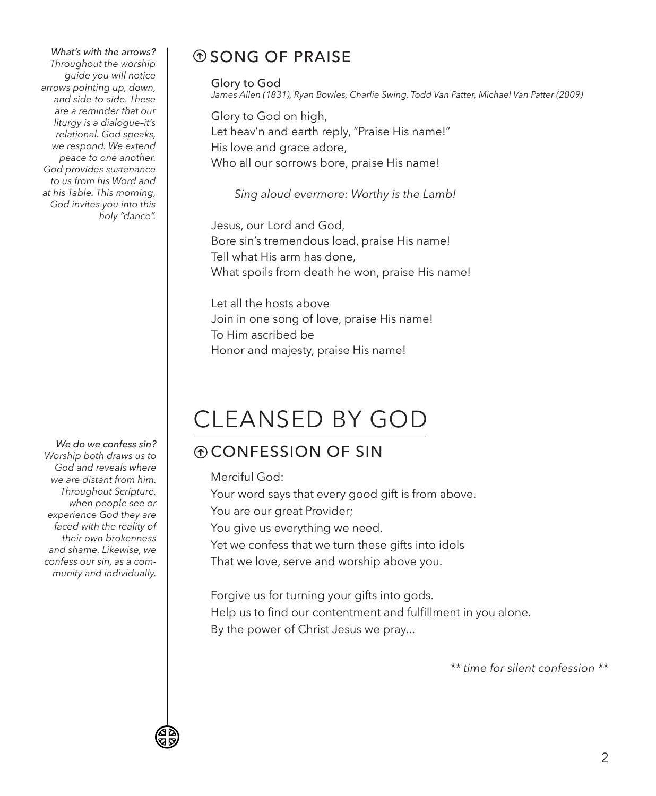*What's with the arrows? Throughout the worship guide you will notice arrows pointing up, down, and side-to-side. These are a reminder that our liturgy is a dialogue–it's relational. God speaks, we respond. We extend peace to one another. God provides sustenance to us from his Word and at his Table. This morning, God invites you into this holy "dance".* 

*We do we confess sin? Worship both draws us to God and reveals where we are distant from him. Throughout Scripture, when people see or experience God they are faced with the reality of their own brokenness and shame. Likewise, we confess our sin, as a community and individually.* 

### **OSONG OF PRAISE**

Glory to God *James Allen (1831), Ryan Bowles, Charlie Swing, Todd Van Patter, Michael Van Patter (2009)*

Glory to God on high, Let heav'n and earth reply, "Praise His name!" His love and grace adore, Who all our sorrows bore, praise His name!

*Sing aloud evermore: Worthy is the Lamb!*

Jesus, our Lord and God, Bore sin's tremendous load, praise His name! Tell what His arm has done, What spoils from death he won, praise His name!

Let all the hosts above Join in one song of love, praise His name! To Him ascribed be Honor and majesty, praise His name!

# CLEANSED BY GOD

### CONFESSION OF SIN

Merciful God:

Your word says that every good gift is from above. You are our great Provider; You give us everything we need. Yet we confess that we turn these gifts into idols That we love, serve and worship above you.

Forgive us for turning your gifts into gods. Help us to find our contentment and fulfillment in you alone. By the power of Christ Jesus we pray...

*\*\* time for silent confession \*\**

2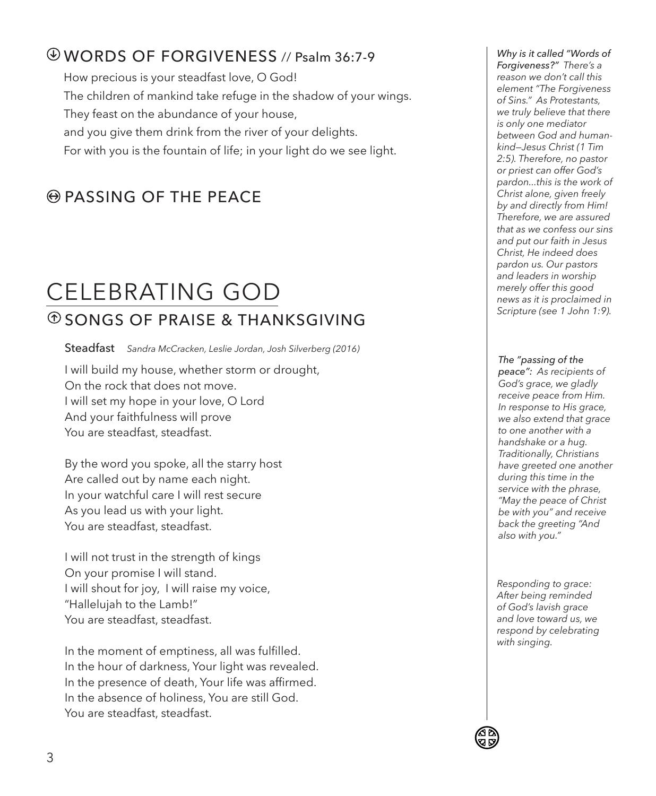#### WORDS OF FORGIVENESS // Psalm 36:7-9

How precious is your steadfast love, O God! The children of mankind take refuge in the shadow of your wings. They feast on the abundance of your house, and you give them drink from the river of your delights. For with you is the fountain of life; in your light do we see light.

### PASSING OF THE PEACE

## **O SONGS OF PRAISE & THANKSGIVING** Scripture (see 1 John 1:9). CELEBRATING GOD

Steadfast *Sandra McCracken, Leslie Jordan, Josh Silverberg (2016)*

I will build my house, whether storm or drought, On the rock that does not move. I will set my hope in your love, O Lord And your faithfulness will prove You are steadfast, steadfast.

By the word you spoke, all the starry host Are called out by name each night. In your watchful care I will rest secure As you lead us with your light. You are steadfast, steadfast.

I will not trust in the strength of kings On your promise I will stand. I will shout for joy, I will raise my voice, "Hallelujah to the Lamb!" You are steadfast, steadfast.

In the moment of emptiness, all was fulfilled. In the hour of darkness, Your light was revealed. In the presence of death, Your life was affirmed. In the absence of holiness, You are still God. You are steadfast, steadfast.

*Why is it called "Words of Forgiveness?" There's a reason we don't call this element "The Forgiveness of Sins." As Protestants, we truly believe that there is only one mediator between God and humankind—Jesus Christ (1 Tim 2:5). Therefore, no pastor or priest can offer God's pardon...this is the work of Christ alone, given freely by and directly from Him! Therefore, we are assured that as we confess our sins and put our faith in Jesus Christ, He indeed does pardon us. Our pastors and leaders in worship merely offer this good news as it is proclaimed in* 

*The "passing of the peace": As recipients of God's grace, we gladly receive peace from Him. In response to His grace, we also extend that grace to one another with a handshake or a hug. Traditionally, Christians have greeted one another during this time in the service with the phrase, "May the peace of Christ be with you" and receive back the greeting "And also with you."*

*Responding to grace: After being reminded of God's lavish grace and love toward us, we respond by celebrating with singing.*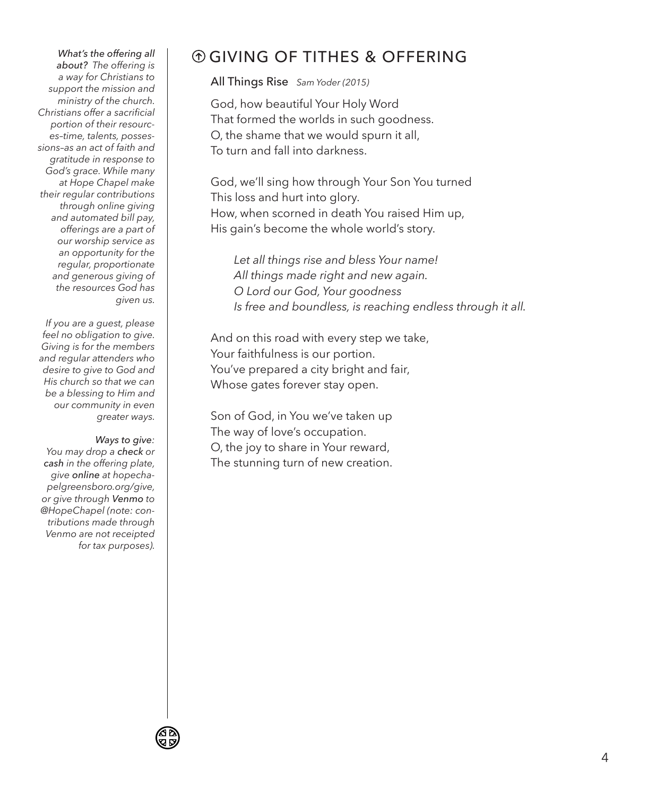*What's the offering all about? The offering is a way for Christians to support the mission and ministry of the church. Christians offer a sacrificial portion of their resources–time, talents, possessions–as an act of faith and gratitude in response to God's grace. While many at Hope Chapel make their regular contributions through online giving and automated bill pay, offerings are a part of our worship service as an opportunity for the regular, proportionate and generous giving of the resources God has given us.*

*If you are a guest, please feel no obligation to give. Giving is for the members and regular attenders who desire to give to God and His church so that we can be a blessing to Him and our community in even greater ways.* 

#### *Ways to give:*

*You may drop a check or cash in the offering plate, give online at hopechapelgreensboro.org/give, or give through Venmo to @HopeChapel (note: contributions made through Venmo are not receipted for tax purposes).*

#### GIVING OF TITHES & OFFERING

All Things Rise*Sam Yoder (2015)*

God, how beautiful Your Holy Word That formed the worlds in such goodness. O, the shame that we would spurn it all, To turn and fall into darkness.

God, we'll sing how through Your Son You turned This loss and hurt into glory. How, when scorned in death You raised Him up, His gain's become the whole world's story.

*Let all things rise and bless Your name! All things made right and new again. O Lord our God, Your goodness Is free and boundless, is reaching endless through it all.*

And on this road with every step we take, Your faithfulness is our portion. You've prepared a city bright and fair, Whose gates forever stay open.

Son of God, in You we've taken up The way of love's occupation. O, the joy to share in Your reward, The stunning turn of new creation.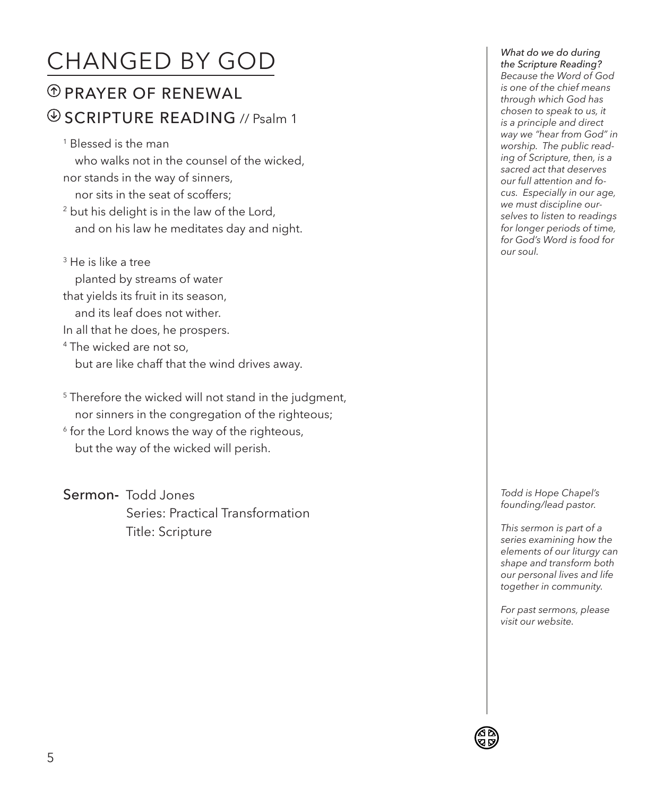# CHANGED BY GOD

### $\circledast$  SCRIPTURE READING // Psalm 1 PRAYER OF RENEWAL

1 Blessed is the man

 who walks not in the counsel of the wicked, nor stands in the way of sinners,

nor sits in the seat of scoffers;

<sup>2</sup> but his delight is in the law of the Lord, and on his law he meditates day and night.

3 He is like a tree planted by streams of water that yields its fruit in its season, and its leaf does not wither. In all that he does, he prospers.

4 The wicked are not so, but are like chaff that the wind drives away.

- <sup>5</sup> Therefore the wicked will not stand in the judgment, nor sinners in the congregation of the righteous;
- <sup>6</sup> for the Lord knows the way of the righteous, but the way of the wicked will perish.

Sermon**-** Todd Jones Series: Practical Transformation Title: Scripture

*What do we do during the Scripture Reading? Because the Word of God is one of the chief means through which God has chosen to speak to us, it is a principle and direct way we "hear from God" in worship. The public reading of Scripture, then, is a sacred act that deserves our full attention and focus. Especially in our age, we must discipline ourselves to listen to readings for longer periods of time, for God's Word is food for our soul.*

*Todd is Hope Chapel's founding/lead pastor.*

*This sermon is part of a series examining how the elements of our liturgy can shape and transform both our personal lives and life together in community.*

*For past sermons, please visit our website.*

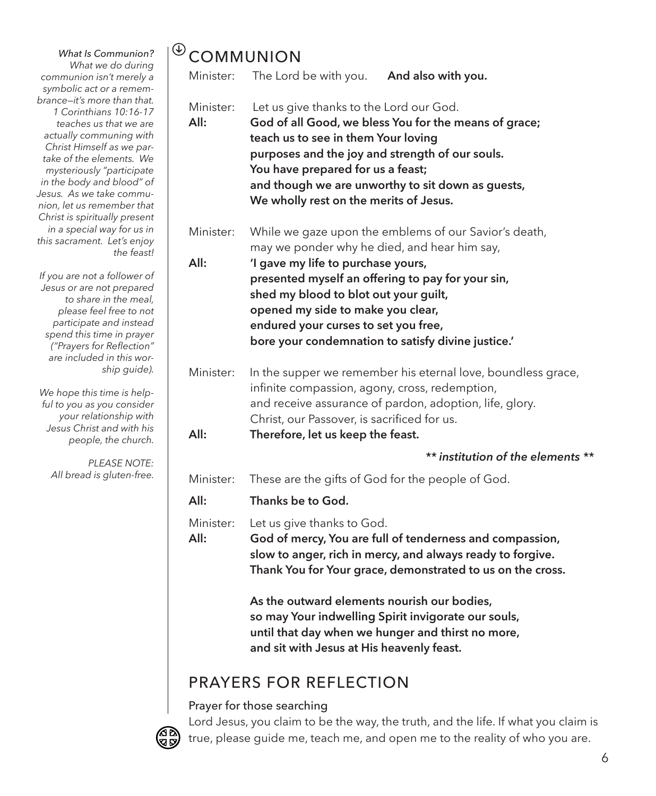| <b>What Is Communion?</b>                             | $\circledast$ COMMUNION                                 |                                                                                                  |                                                              |  |
|-------------------------------------------------------|---------------------------------------------------------|--------------------------------------------------------------------------------------------------|--------------------------------------------------------------|--|
| communion isn't merely a                              | What we do during<br>The Lord be with you.<br>Minister: |                                                                                                  | And also with you.                                           |  |
| symbolic act or a remem-                              |                                                         |                                                                                                  |                                                              |  |
| brance–it's more than that.                           |                                                         |                                                                                                  |                                                              |  |
| 1 Corinthians 10:16-17                                | Minister:                                               | Let us give thanks to the Lord our God.<br>God of all Good, we bless You for the means of grace; |                                                              |  |
| teaches us that we are                                | All:                                                    |                                                                                                  |                                                              |  |
| actually communing with<br>Christ Himself as we par-  |                                                         | teach us to see in them Your loving                                                              |                                                              |  |
| take of the elements. We                              |                                                         | purposes and the joy and strength of our souls.                                                  |                                                              |  |
| mysteriously "participate                             |                                                         | You have prepared for us a feast;                                                                |                                                              |  |
| in the body and blood" of<br>Jesus. As we take commu- |                                                         | and though we are unworthy to sit down as guests,                                                |                                                              |  |
| nion, let us remember that                            |                                                         | We wholly rest on the merits of Jesus.                                                           |                                                              |  |
| Christ is spiritually present                         |                                                         |                                                                                                  |                                                              |  |
| in a special way for us in                            | Minister:                                               |                                                                                                  | While we gaze upon the emblems of our Savior's death,        |  |
| this sacrament. Let's enjoy                           |                                                         | may we ponder why he died, and hear him say,                                                     |                                                              |  |
| the feast!                                            | All:                                                    | 'I gave my life to purchase yours,                                                               |                                                              |  |
| If you are not a follower of                          |                                                         | presented myself an offering to pay for your sin,                                                |                                                              |  |
| Jesus or are not prepared                             |                                                         | shed my blood to blot out your guilt,                                                            |                                                              |  |
| to share in the meal,<br>please feel free to not      |                                                         | opened my side to make you clear,                                                                |                                                              |  |
| participate and instead                               |                                                         | endured your curses to set you free,                                                             |                                                              |  |
| spend this time in prayer                             |                                                         |                                                                                                  | bore your condemnation to satisfy divine justice.'           |  |
| ("Prayers for Reflection"                             |                                                         |                                                                                                  |                                                              |  |
| are included in this wor-<br>ship quide).             |                                                         |                                                                                                  |                                                              |  |
|                                                       | Minister:                                               |                                                                                                  | In the supper we remember his eternal love, boundless grace, |  |
| We hope this time is help-                            |                                                         | infinite compassion, agony, cross, redemption,                                                   |                                                              |  |
| ful to you as you consider<br>your relationship with  |                                                         |                                                                                                  | and receive assurance of pardon, adoption, life, glory.      |  |
| Jesus Christ and with his                             |                                                         | Christ, our Passover, is sacrificed for us.                                                      |                                                              |  |
| people, the church.                                   | All:                                                    | Therefore, let us keep the feast.                                                                |                                                              |  |
| <b>PLEASE NOTE:</b>                                   |                                                         |                                                                                                  | ** institution of the elements **                            |  |
| All bread is gluten-free.                             | Minister:                                               | These are the gifts of God for the people of God.                                                |                                                              |  |
|                                                       | All:                                                    | Thanks be to God.                                                                                |                                                              |  |
|                                                       |                                                         |                                                                                                  |                                                              |  |
|                                                       | Minister:                                               | Let us give thanks to God.                                                                       |                                                              |  |
|                                                       | All:                                                    |                                                                                                  | God of mercy, You are full of tenderness and compassion,     |  |
|                                                       |                                                         |                                                                                                  | slow to anger, rich in mercy, and always ready to forgive.   |  |
|                                                       |                                                         |                                                                                                  | Thank You for Your grace, demonstrated to us on the cross.   |  |
|                                                       |                                                         | As the outward elements nourish our bodies,                                                      |                                                              |  |
|                                                       |                                                         |                                                                                                  | so may Your indwelling Spirit invigorate our souls,          |  |
|                                                       |                                                         |                                                                                                  | until that day when we hunger and thirst no more,            |  |
|                                                       |                                                         | and sit with Jesus at His heavenly feast.                                                        |                                                              |  |
|                                                       |                                                         |                                                                                                  |                                                              |  |
|                                                       |                                                         | <b>PRAYERS FOR REFLECTION</b>                                                                    |                                                              |  |
|                                                       |                                                         | Prayer for those searching                                                                       |                                                              |  |

Lord Jesus, you claim to be the way, the truth, and the life. If what you claim is  $\overset{\textup{(a)}}{\bigcirc}$  true, please guide me, teach me, and open me to the reality of who you are.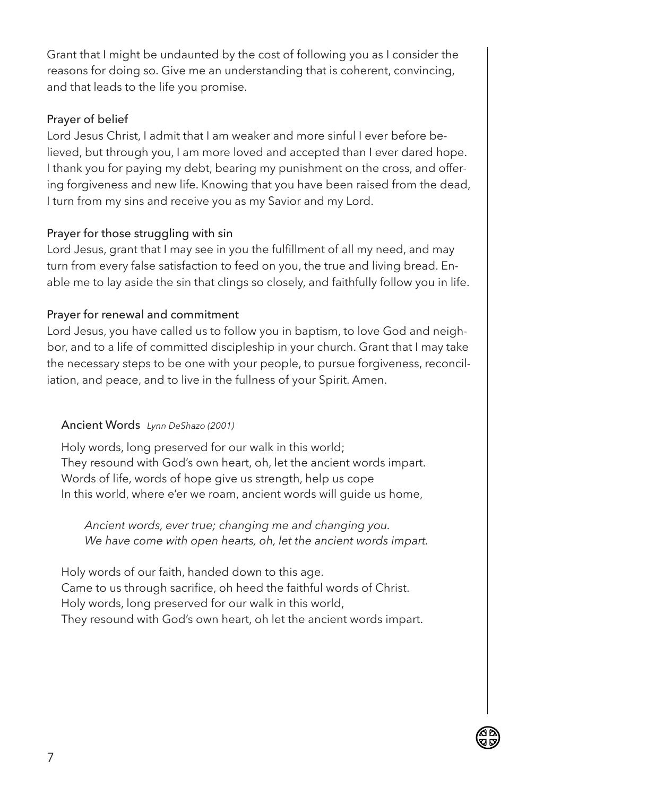Grant that I might be undaunted by the cost of following you as I consider the reasons for doing so. Give me an understanding that is coherent, convincing, and that leads to the life you promise.

#### Prayer of belief

Lord Jesus Christ, I admit that I am weaker and more sinful I ever before believed, but through you, I am more loved and accepted than I ever dared hope. I thank you for paying my debt, bearing my punishment on the cross, and offering forgiveness and new life. Knowing that you have been raised from the dead, I turn from my sins and receive you as my Savior and my Lord.

#### Prayer for those struggling with sin

Lord Jesus, grant that I may see in you the fulfillment of all my need, and may turn from every false satisfaction to feed on you, the true and living bread. Enable me to lay aside the sin that clings so closely, and faithfully follow you in life.

#### Prayer for renewal and commitment

Lord Jesus, you have called us to follow you in baptism, to love God and neighbor, and to a life of committed discipleship in your church. Grant that I may take the necessary steps to be one with your people, to pursue forgiveness, reconciliation, and peace, and to live in the fullness of your Spirit. Amen.

#### Ancient Words *Lynn DeShazo (2001)*

Holy words, long preserved for our walk in this world; They resound with God's own heart, oh, let the ancient words impart. Words of life, words of hope give us strength, help us cope In this world, where e'er we roam, ancient words will guide us home,

*Ancient words, ever true; changing me and changing you. We have come with open hearts, oh, let the ancient words impart.*

Holy words of our faith, handed down to this age. Came to us through sacrifice, oh heed the faithful words of Christ. Holy words, long preserved for our walk in this world, They resound with God's own heart, oh let the ancient words impart.